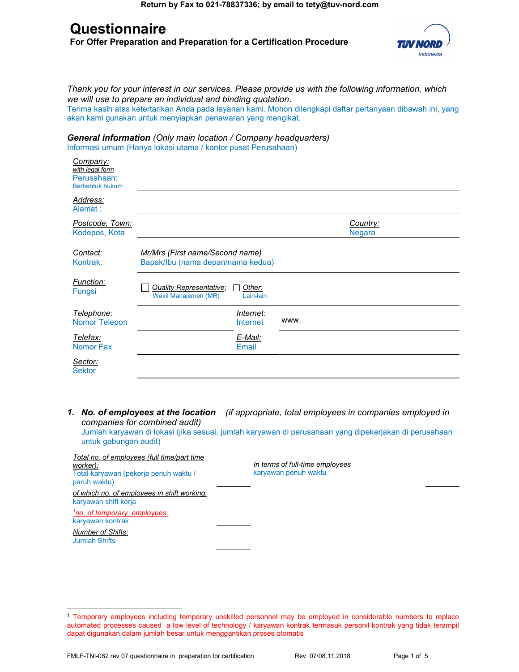# **Questionnaire**

For Offer Preparation and Preparation for a Certification Procedure



Thank you for your interest in our services. Please provide us with the following information, which we will use to prepare an individual and binding quotation.

Terima kasih atas ketertarikan Anda pada layanan kami. Mohon dilengkapi daftar pertanyaan dibawah ini, yang akan kami gunakan untuk menyiapkan penawaran yang mengikat.

General information (Only main location / Company headquarters) Informasi umum (Hanya lokasi utama / kantor pusat Perusahaan)

| Company:<br>with legal form<br>Perusahaan:<br><b>Berbentuk hukum</b> |                                                                      |                              |      |                           |
|----------------------------------------------------------------------|----------------------------------------------------------------------|------------------------------|------|---------------------------|
| Address:<br>Alamat:                                                  |                                                                      |                              |      |                           |
| Postcode, Town:<br>Kodepos, Kota                                     |                                                                      |                              |      | Country:<br><b>Negara</b> |
| Contact:<br>Kontrak:                                                 | Mr/Mrs (First name/Second name)<br>Bapak/Ibu (nama depan/nama kedua) |                              |      |                           |
| Function:<br>Fungsi                                                  | <b>Quality Representative;</b><br>Wakil Manajemen (MR)               | Other:<br>Lain-lain          |      |                           |
| Telephone:<br><b>Nomor Telepon</b>                                   |                                                                      | Internet:<br><b>Internet</b> | www. |                           |
| Telefax:<br><b>Nomor Fax</b>                                         |                                                                      | E-Mail:<br><b>Email</b>      |      |                           |
| Sector:<br><b>Sektor</b>                                             |                                                                      |                              |      |                           |

1. No. of employees at the location (if appropriate, total employees in companies employed in companies for combined audit)

Jumlah karyawan di lokasi (jika sesuai, jumlah karyawan di perusahaan yang dipekerjakan di perusahaan untuk gabungan audit)

| Total no. of employees (full time/part time<br>worker):<br>Total karyawan (pekerja penuh waktu /<br>paruh waktu) | In terms of full-time employees<br>karyawan penuh waktu |
|------------------------------------------------------------------------------------------------------------------|---------------------------------------------------------|
| of which no. of employees in shift working:<br>karyawan shift kerja                                              |                                                         |
| <sup>1</sup> no. of temporary employees:<br>karyawan kontrak                                                     |                                                         |
| <b>Number of Shifts:</b><br><b>Jumlah Shifts</b>                                                                 |                                                         |
|                                                                                                                  |                                                         |

 $\overline{a}$ <sup>1</sup> Temporary employees including temporary unskilled personnel may be employed in considerable numbers to replace automated processes caused a low level of technology / karyawan kontrak termasuk personil kontrak yang tidak terampil dapat digunakan dalam jumlah besar untuk menggantikan proses otomatis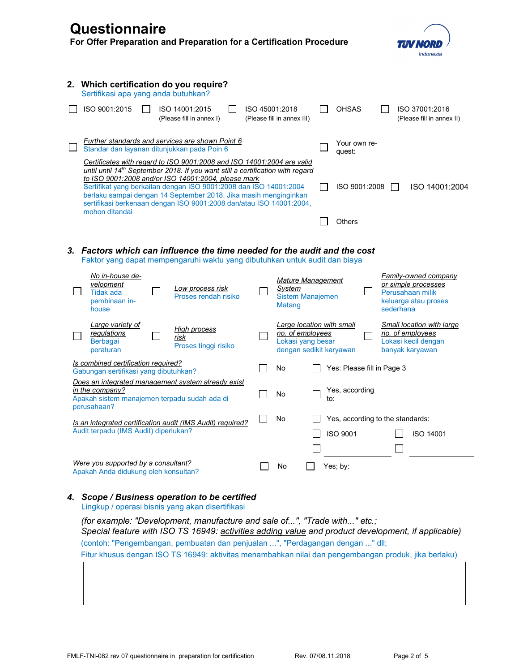| Questionnaire<br>For Offer Preparation and Preparation for a Certification Procedure                                                                                                                                                                                                                                                                                                                                                              |                                                                                               |     |                            | Indonesia                                                                                                   |
|---------------------------------------------------------------------------------------------------------------------------------------------------------------------------------------------------------------------------------------------------------------------------------------------------------------------------------------------------------------------------------------------------------------------------------------------------|-----------------------------------------------------------------------------------------------|-----|----------------------------|-------------------------------------------------------------------------------------------------------------|
| 2. Which certification do you require?<br>Sertifikasi apa yang anda butuhkan?                                                                                                                                                                                                                                                                                                                                                                     |                                                                                               |     |                            |                                                                                                             |
| ISO 9001:2015<br>ISO 14001:2015<br>(Please fill in annex I)                                                                                                                                                                                                                                                                                                                                                                                       | ISO 45001:2018<br>(Please fill in annex III)                                                  |     | <b>OHSAS</b>               | ISO 37001:2016<br>(Please fill in annex II)                                                                 |
| Further standards and services are shown Point 6<br>Standar dan layanan ditunjukkan pada Poin 6                                                                                                                                                                                                                                                                                                                                                   |                                                                                               |     | Your own re-<br>quest:     |                                                                                                             |
| Certificates with regard to ISO 9001:2008 and ISO 14001:2004 are valid<br>until until 14th September 2018. If you want still a certification with regard<br>to ISO 9001:2008 and/or ISO 14001:2004, please mark<br>Sertifikat yang berkaitan dengan ISO 9001:2008 dan ISO 14001:2004<br>berlaku sampai dengan 14 September 2018. Jika masih menginginkan<br>sertifikasi berkenaan dengan ISO 9001:2008 dan/atau ISO 14001:2004,<br>mohon ditandai |                                                                                               |     | ISO 9001:2008              | ISO 14001:2004                                                                                              |
|                                                                                                                                                                                                                                                                                                                                                                                                                                                   |                                                                                               |     | Others                     |                                                                                                             |
| 3. Factors which can influence the time needed for the audit and the cost<br>Faktor yang dapat mempengaruhi waktu yang dibutuhkan untuk audit dan biaya<br>No in-house de-<br>velopment<br>Low process risk<br><b>Tidak ada</b><br>Proses rendah risiko<br>pembinaan in-<br>house                                                                                                                                                                 | <b>Mature Management</b><br>System<br><b>Sistem Manajemen</b><br><b>Matang</b>                |     |                            | <b>Family-owned company</b><br>or simple processes<br>Perusahaan milik<br>keluarga atau proses<br>sederhana |
| Large variety of<br>High process<br>regulations<br>risk<br><b>Berbagai</b><br>Proses tinggi risiko<br>peraturan                                                                                                                                                                                                                                                                                                                                   | Large location with small<br>no. of employees<br>Lokasi yang besar<br>dengan sedikit karyawan |     |                            | Small location with large<br>no. of employees<br>Lokasi kecil dengan<br>banyak karyawan                     |
| Is combined certification required?<br>Gabungan sertifikasi yang dibutuhkan?                                                                                                                                                                                                                                                                                                                                                                      | No                                                                                            |     | Yes: Please fill in Page 3 |                                                                                                             |
| Does an integrated management system already exist<br>in the company?<br>Apakah sistem manajemen terpadu sudah ada di<br>perusahaan?                                                                                                                                                                                                                                                                                                              | No                                                                                            | IO. | Yes, according             |                                                                                                             |
| Is an integrated certification audit (IMS Audit) required?<br>Audit terpadu (IMS Audit) diperlukan?                                                                                                                                                                                                                                                                                                                                               | No                                                                                            |     | ISO 9001                   | Yes, according to the standards:<br>ISO 14001                                                               |
| Were you supported by a consultant?<br>Apakah Anda didukung oleh konsultan?                                                                                                                                                                                                                                                                                                                                                                       | No                                                                                            |     | Yes; by:                   |                                                                                                             |

# 4. Scope / Business operation to be certified

Lingkup / operasi bisnis yang akan disertifikasi

(for example: "Development, manufacture and sale of...", "Trade with..." etc.; Special feature with ISO TS 16949: activities adding value and product development, if applicable) (contoh: "Pengembangan, pembuatan dan penjualan ...", "Perdagangan dengan ..." dll; Fitur khusus dengan ISO TS 16949: aktivitas menambahkan nilai dan pengembangan produk, jika berlaku)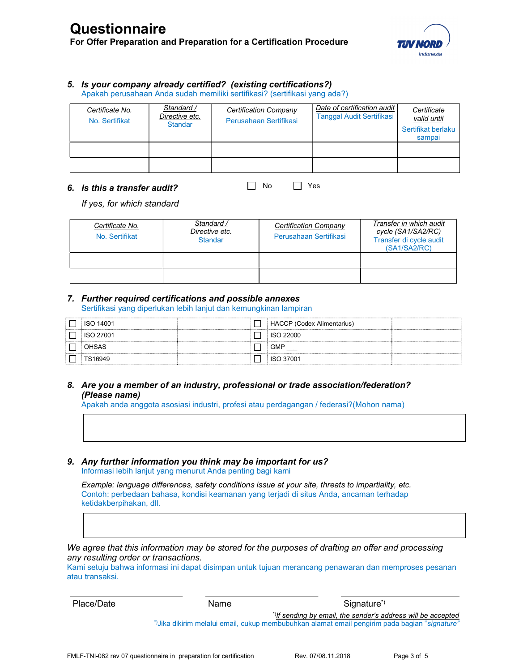

#### 5. Is your company already certified? (existing certifications?)

Apakah perusahaan Anda sudah memiliki sertifikasi? (sertifikasi yang ada?)

| Certificate No.<br>No. Sertifikat | Standard /<br>Directive etc.<br><b>Standar</b> | Certification Company<br>Perusahaan Sertifikasi | Date of certification audit<br><b>Tanggal Audit Sertifikasi</b> | Certificate<br>valid until<br>Sertifikat berlaku<br>sampai |
|-----------------------------------|------------------------------------------------|-------------------------------------------------|-----------------------------------------------------------------|------------------------------------------------------------|
|                                   |                                                |                                                 |                                                                 |                                                            |
|                                   |                                                |                                                 |                                                                 |                                                            |

 $\Box$  No  $\Box$  Yes

#### 6. Is this a transfer audit?

If yes, for which standard

| Certificate No.<br>No. Sertifikat | Standard /<br>Directive etc.<br><b>Standar</b> | <b>Certification Company</b><br>Perusahaan Sertifikasi | Transfer in which audit<br>cycle (SA1/SA2/RC)<br>Transfer di cycle audit<br>(SA1/SA2/RC) |
|-----------------------------------|------------------------------------------------|--------------------------------------------------------|------------------------------------------------------------------------------------------|
|                                   |                                                |                                                        |                                                                                          |
|                                   |                                                |                                                        |                                                                                          |

## 7. Further required certifications and possible annexes

Sertifikasi yang diperlukan lebih lanjut dan kemungkinan lampiran

| <b>ISO 14001</b> | <b>HACCP</b> (Codex Alimentarius) |  |
|------------------|-----------------------------------|--|
| <b>ISO 27001</b> | ISO 22000                         |  |
| <b>OHSAS</b>     | <b>GMP</b>                        |  |
| TS16949          | ISO 37001                         |  |

## 8. Are you a member of an industry, professional or trade association/federation? (Please name)

Apakah anda anggota asosiasi industri, profesi atau perdagangan / federasi?(Mohon nama)

#### 9. Any further information you think may be important for us? Informasi lebih lanjut yang menurut Anda penting bagi kami

Example: language differences, safety conditions issue at your site, threats to impartiality, etc. Contoh: perbedaan bahasa, kondisi keamanan yang terjadi di situs Anda, ancaman terhadap ketidakberpihakan, dll.

We agree that this information may be stored for the purposes of drafting an offer and processing any resulting order or transactions.

Kami setuju bahwa informasi ini dapat disimpan untuk tujuan merancang penawaran dan memproses pesanan atau transaksi.

| Place/Date | Name | Signature <sup>*</sup>                                                                       |
|------------|------|----------------------------------------------------------------------------------------------|
|            |      | *)If sending by email, the sender's address will be accepted                                 |
|            |      | "Jika dikirim melalui email, cukup membubuhkan alamat email pengirim pada bagian "signature" |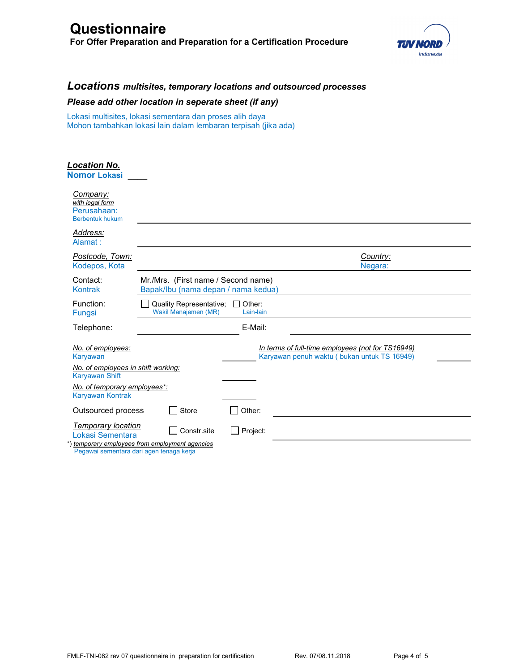# **Questionnaire**

For Offer Preparation and Preparation for a Certification Procedure



# Locations multisites, temporary locations and outsourced processes

### Please add other location in seperate sheet (if any)

Lokasi multisites, lokasi sementara dan proses alih daya Mohon tambahkan lokasi lain dalam lembaran terpisah (jika ada)

| <u> Location No.</u><br><b>Nomor Lokasi</b>                          |                                                                               |                                                                                                  |
|----------------------------------------------------------------------|-------------------------------------------------------------------------------|--------------------------------------------------------------------------------------------------|
| Company:<br>with legal form<br>Perusahaan:<br><b>Berbentuk hukum</b> |                                                                               |                                                                                                  |
| Address:<br>Alamat:                                                  |                                                                               |                                                                                                  |
| Postcode, Town:<br>Kodepos, Kota                                     |                                                                               | Country:<br>Negara:                                                                              |
| Contact:<br><b>Kontrak</b>                                           | Mr./Mrs. (First name / Second name)<br>Bapak/Ibu (nama depan / nama kedua)    |                                                                                                  |
| Function:<br>Fungsi                                                  | <b>Quality Representative:</b><br>Other:<br>Wakil Manajemen (MR)<br>Lain-lain |                                                                                                  |
| Telephone:                                                           | E-Mail:                                                                       |                                                                                                  |
| No. of employees:<br>Karyawan<br>No. of employees in shift working:  |                                                                               | In terms of full-time employees (not for TS16949)<br>Karyawan penuh waktu (bukan untuk TS 16949) |
| <b>Karyawan Shift</b>                                                |                                                                               |                                                                                                  |
| No. of temporary employees*:<br><b>Karyawan Kontrak</b>              |                                                                               |                                                                                                  |
| Outsourced process                                                   | Other:<br><b>Store</b>                                                        |                                                                                                  |
| <b>Temporary location</b><br>Lokasi Sementara                        | Constr.site<br>Project:<br>*) temporary employees from employment agencies    |                                                                                                  |
| Pegawai sementara dari agen tenaga kerja                             |                                                                               |                                                                                                  |